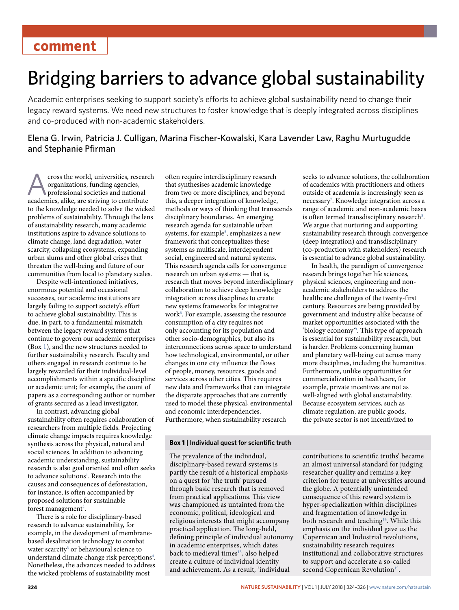# **comment**

# Bridging barriers to advance global sustainability

Academic enterprises seeking to support society's efforts to achieve global sustainability need to change their legacy reward systems. We need new structures to foster knowledge that is deeply integrated across disciplines and co-produced with non-academic stakeholders.

Elena G. Irwin, Patricia J. Culligan, Marina Fischer-Kowalski, Kara Lavender Law, Raghu Murtugudde and Stephanie Pfirman

cross the world, universities, research organizations, funding agencies, professional societies and national academies, alike, are striving to contribute to the knowledge needed to solve the wicked problems of sustainability. Through the lens of sustainability research, many academic institutions aspire to advance solutions to climate change, land degradation, water scarcity, collapsing ecosystems, expanding urban slums and other global crises that threaten the well-being and future of our communities from local to planetary scales.

Despite well-intentioned initiatives, enormous potential and occasional successes, our academic institutions are largely failing to support society's effort to achieve global sustainability. This is due, in part, to a fundamental mismatch between the legacy reward systems that continue to govern our academic enterprises (Box [1](#page-0-0)), and the new structures needed to further sustainability research. Faculty and others engaged in research continue to be largely rewarded for their individual-level accomplishments within a specific discipline or academic unit; for example, the count of papers as a corresponding author or number of grants secured as a lead investigator.

In contrast, advancing global sustainability often requires collaboration of researchers from multiple fields. Projecting climate change impacts requires knowledge synthesis across the physical, natural and social sciences. In addition to advancing academic understanding, sustainability research is also goal oriented and often seeks to advance solutions<sup>[1](#page-2-0)</sup>. Research into the causes and consequences of deforestation, for instance, is often accompanied by proposed solutions for sustainable forest management<sup>2</sup>.

There is a role for disciplinary-based research to advance sustainability, for example, in the development of membranebased desalination technology to combat water scarcity<sup>[3](#page-2-2)</sup> or behavioural science to understand climate change risk perceptions<sup>4</sup>. Nonetheless, the advances needed to address the wicked problems of sustainability most

often require interdisciplinary research that synthesises academic knowledge from two or more disciplines, and beyond this, a deeper integration of knowledge, methods or ways of thinking that transcends disciplinary boundaries. An emerging research agenda for sustainable urban systems, for example<sup>5</sup>, emphasizes a new framework that conceptualizes these systems as multiscale, interdependent social, engineered and natural systems. This research agenda calls for convergence research on urban systems — that is, research that moves beyond interdisciplinary collaboration to achieve deep knowledge integration across disciplines to create new systems frameworks for integrative work<sup>6</sup>. For example, assessing the resource consumption of a city requires not only accounting for its population and other socio-demographics, but also its interconnections across space to understand how technological, environmental, or other changes in one city influence the flows of people, money, resources, goods and services across other cities. This requires new data and frameworks that can integrate the disparate approaches that are currently used to model these physical, environmental and economic interdependencies. Furthermore, when sustainability research

#### <span id="page-0-0"></span>**Box 1** | Individual quest for scientific truth

The prevalence of the individual, disciplinary-based reward systems is partly the result of a historical emphasis on a quest for 'the truth' pursued through basic research that is removed from practical applications. This view was championed as untainted from the economic, political, ideological and religious interests that might accompany practical application. The long-held, defning principle of individual autonomy in academic enterprises, which dates back to medieval times<sup>13</sup>, also helped create a culture of individual identity and achievement. As a result, 'individual

seeks to advance solutions, the collaboration of academics with practitioners and others outside of academia is increasingly seen as necessary<sup>[7](#page-2-6)</sup>. Knowledge integration across a range of academic and non-academic bases is often termed transdisciplinary research<sup>[8](#page-2-7)</sup>. We argue that nurturing and supporting sustainability research through convergence (deep integration) and transdisciplinary (co-production with stakeholders) research is essential to advance global sustainability.

In health, the paradigm of convergence research brings together life sciences, physical sciences, engineering and nonacademic stakeholders to address the healthcare challenges of the twenty-first century. Resources are being provided by government and industry alike because of market opportunities associated with the 'biology economy'[9](#page-2-8) . This type of approach is essential for sustainability research, but is harder. Problems concerning human and planetary well-being cut across many more disciplines, including the humanities. Furthermore, unlike opportunities for commercialization in healthcare, for example, private incentives are not as well-aligned with global sustainability. Because ecosystem services, such as climate regulation, are public goods, the private sector is not incentivized to

contributions to scientifc truths' became an almost universal standard for judging researcher quality and remains a key criterion for tenure at universities around the globe. A potentially unintended consequence of this reward system is hyper-specialization within disciplines and fragmentation of knowledge in both research and teaching<sup>14</sup>. While this emphasis on the individual gave us the Copernican and Industrial revolutions, sustainability research requires institutional and collaborative structures to support and accelerate a so-called second Copernican Revolution<sup>[15](#page-2-11)</sup>.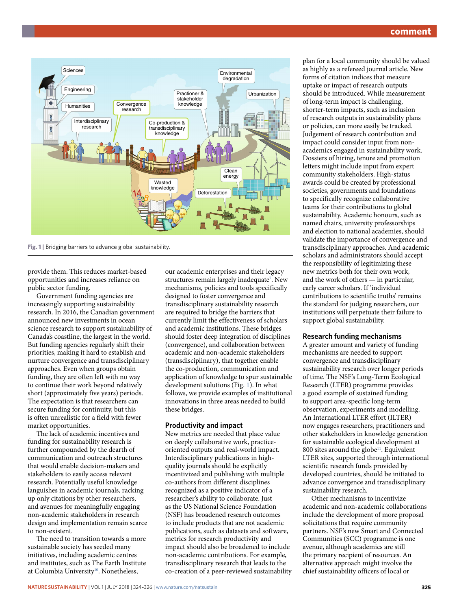

<span id="page-1-0"></span>**Fig. 1 |** Bridging barriers to advance global sustainability.

provide them. This reduces market-based opportunities and increases reliance on public sector funding.

Government funding agencies are increasingly supporting sustainability research. In 2016, the Canadian government announced new investments in ocean science research to support sustainability of Canada's coastline, the largest in the world. But funding agencies regularly shift their priorities, making it hard to establish and nurture convergence and transdisciplinary approaches. Even when groups obtain funding, they are often left with no way to continue their work beyond relatively short (approximately five years) periods. The expectation is that researchers can secure funding for continuity, but this is often unrealistic for a field with fewer market opportunities.

The lack of academic incentives and funding for sustainability research is further compounded by the dearth of communication and outreach structures that would enable decision-makers and stakeholders to easily access relevant research. Potentially useful knowledge languishes in academic journals, racking up only citations by other researchers, and avenues for meaningfully engaging non-academic stakeholders in research design and implementation remain scarce to non-existent.

The need to transition towards a more sustainable society has seeded many initiatives, including academic centres and institutes, such as The Earth Institute at Columbia University<sup>10</sup>. Nonetheless,

our academic enterprises and their legacy structures remain largely inadequate<sup>[7](#page-2-6)</sup>. New mechanisms, policies and tools specifically designed to foster convergence and transdisciplinary sustainability research are required to bridge the barriers that currently limit the effectiveness of scholars and academic institutions. These bridges should foster deep integration of disciplines (convergence), and collaboration between academic and non-academic stakeholders (transdisciplinary), that together enable the co-production, communication and application of knowledge to spur sustainable development solutions (Fig. [1](#page-1-0)). In what follows, we provide examples of institutional innovations in three areas needed to build these bridges.

# **Productivity and impact**

New metrics are needed that place value on deeply collaborative work, practiceoriented outputs and real-world impact. Interdisciplinary publications in highquality journals should be explicitly incentivized and publishing with multiple co-authors from different disciplines recognized as a positive indicator of a researcher's ability to collaborate. Just as the US National Science Foundation (NSF) has broadened research outcomes to include products that are not academic publications, such as datasets and software, metrics for research productivity and impact should also be broadened to include non-academic contributions. For example, transdisciplinary research that leads to the co-creation of a peer-reviewed sustainability

plan for a local community should be valued as highly as a refereed journal article. New forms of citation indices that measure uptake or impact of research outputs should be introduced. While measurement of long-term impact is challenging, shorter-term impacts, such as inclusion of research outputs in sustainability plans or policies, can more easily be tracked. Judgement of research contribution and impact could consider input from nonacademics engaged in sustainability work. Dossiers of hiring, tenure and promotion letters might include input from expert community stakeholders. High-status awards could be created by professional societies, governments and foundations to specifically recognize collaborative teams for their contributions to global sustainability. Academic honours, such as named chairs, university professorships and election to national academies, should validate the importance of convergence and transdisciplinary approaches. And academic scholars and administrators should accept the responsibility of legitimizing these new metrics both for their own work, and the work of others — in particular, early career scholars. If 'individual contributions to scientific truths' remains the standard for judging researchers, our institutions will perpetuate their failure to support global sustainability.

## **Research funding mechanisms**

A greater amount and variety of funding mechanisms are needed to support convergence and transdisciplinary sustainability research over longer periods of time. The NSF's Long-Term Ecological Research (LTER) programme provides a good example of sustained funding to support area-specific long-term observation, experiments and modelling. An International LTER effort (ILTER) now engages researchers, practitioners and other stakeholders in knowledge generation for sustainable ecological development at 800 sites around the globe<sup>11</sup>. Equivalent LTER sites, supported through international scientific research funds provided by developed countries, should be initiated to advance convergence and transdisciplinary sustainability research.

Other mechanisms to incentivize academic and non-academic collaborations include the development of more proposal solicitations that require community partners. NSF's new Smart and Connected Communities (SCC) programme is one avenue, although academics are still the primary recipient of resources. An alternative approach might involve the chief sustainability officers of local or